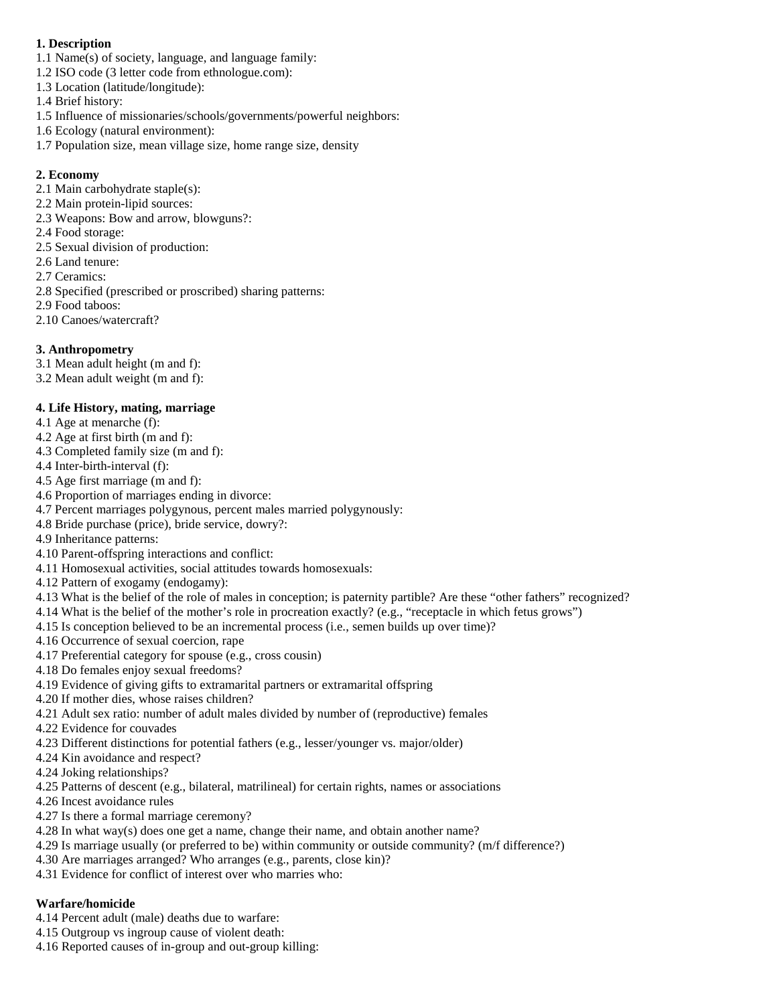## **1. Description**

- 1.1 Name(s) of society, language, and language family:
- 1.2 ISO code (3 letter code from ethnologue.com):
- 1.3 Location (latitude/longitude):
- 1.4 Brief history:
- 1.5 Influence of missionaries/schools/governments/powerful neighbors:
- 1.6 Ecology (natural environment):
- 1.7 Population size, mean village size, home range size, density

# **2. Economy**

- 2.1 Main carbohydrate staple(s):
- 2.2 Main protein-lipid sources:
- 2.3 Weapons: Bow and arrow, blowguns?:
- 2.4 Food storage:
- 2.5 Sexual division of production:
- 2.6 Land tenure:
- 2.7 Ceramics:
- 2.8 Specified (prescribed or proscribed) sharing patterns:
- 2.9 Food taboos:
- 2.10 Canoes/watercraft?

# **3. Anthropometry**

- 3.1 Mean adult height (m and f):
- 3.2 Mean adult weight (m and f):

# **4. Life History, mating, marriage**

- 4.1 Age at menarche (f):
- 4.2 Age at first birth (m and f):
- 4.3 Completed family size (m and f):
- 4.4 Inter-birth-interval (f):
- 4.5 Age first marriage (m and f):
- 4.6 Proportion of marriages ending in divorce:
- 4.7 Percent marriages polygynous, percent males married polygynously:
- 4.8 Bride purchase (price), bride service, dowry?:
- 4.9 Inheritance patterns:
- 4.10 Parent-offspring interactions and conflict:
- 4.11 Homosexual activities, social attitudes towards homosexuals:
- 4.12 Pattern of exogamy (endogamy):
- 4.13 What is the belief of the role of males in conception; is paternity partible? Are these "other fathers" recognized?
- 4.14 What is the belief of the mother's role in procreation exactly? (e.g., "receptacle in which fetus grows")
- 4.15 Is conception believed to be an incremental process (i.e., semen builds up over time)?
- 4.16 Occurrence of sexual coercion, rape
- 4.17 Preferential category for spouse (e.g., cross cousin)
- 4.18 Do females enjoy sexual freedoms?
- 4.19 Evidence of giving gifts to extramarital partners or extramarital offspring
- 4.20 If mother dies, whose raises children?
- 4.21 Adult sex ratio: number of adult males divided by number of (reproductive) females
- 4.22 Evidence for couvades
- 4.23 Different distinctions for potential fathers (e.g., lesser/younger vs. major/older)
- 4.24 Kin avoidance and respect?
- 4.24 Joking relationships?
- 4.25 Patterns of descent (e.g., bilateral, matrilineal) for certain rights, names or associations
- 4.26 Incest avoidance rules
- 4.27 Is there a formal marriage ceremony?
- 4.28 In what way(s) does one get a name, change their name, and obtain another name?
- 4.29 Is marriage usually (or preferred to be) within community or outside community? (m/f difference?)
- 4.30 Are marriages arranged? Who arranges (e.g., parents, close kin)?
- 4.31 Evidence for conflict of interest over who marries who:

# **Warfare/homicide**

- 4.14 Percent adult (male) deaths due to warfare:
- 4.15 Outgroup vs ingroup cause of violent death:
- 4.16 Reported causes of in-group and out-group killing: